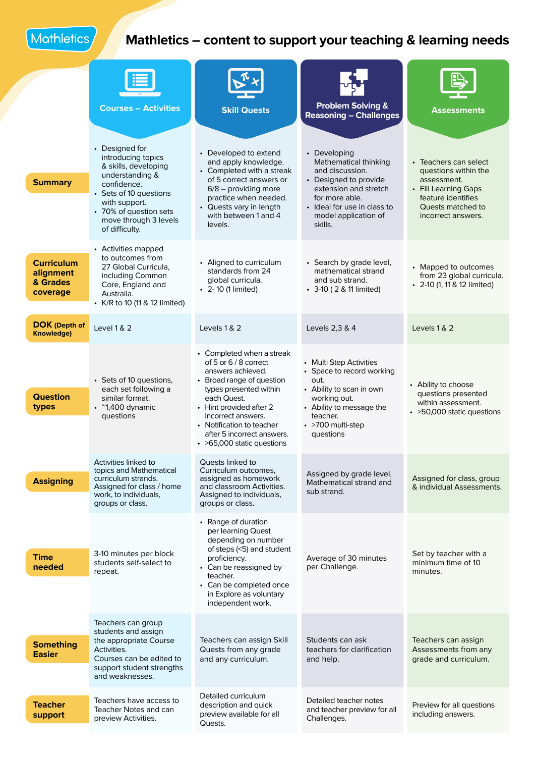Mathletics

## **Mathletics – content to support your teaching & learning needs**

|                                                        | <b>Courses - Activities</b>                                                                                                                                                                                    | <b>Skill Quests</b>                                                                                                                                                                                                                                                                     | <b>Problem Solving &amp;</b><br><b>Reasoning - Challenges</b>                                                                                                                                  | <b>Assessments</b>                                                                                                                                    |
|--------------------------------------------------------|----------------------------------------------------------------------------------------------------------------------------------------------------------------------------------------------------------------|-----------------------------------------------------------------------------------------------------------------------------------------------------------------------------------------------------------------------------------------------------------------------------------------|------------------------------------------------------------------------------------------------------------------------------------------------------------------------------------------------|-------------------------------------------------------------------------------------------------------------------------------------------------------|
| <b>Summary</b>                                         | • Designed for<br>introducing topics<br>& skills, developing<br>understanding &<br>confidence.<br>• Sets of 10 questions<br>with support.<br>• 70% of question sets<br>move through 3 levels<br>of difficulty. | • Developed to extend<br>and apply knowledge.<br>• Completed with a streak<br>of 5 correct answers or<br>$6/8$ – providing more<br>practice when needed.<br>• Quests vary in length<br>with between 1 and 4<br>levels.                                                                  | • Developing<br>Mathematical thinking<br>and discussion.<br>• Designed to provide<br>extension and stretch<br>for more able.<br>• Ideal for use in class to<br>model application of<br>skills. | • Teachers can select<br>questions within the<br>assessment.<br>• Fill Learning Gaps<br>feature identifies<br>Quests matched to<br>incorrect answers. |
| <b>Curriculum</b><br>alignment<br>& Grades<br>coverage | • Activities mapped<br>to outcomes from<br>27 Global Curricula.<br>including Common<br>Core, England and<br>Australia.<br>• K/R to 10 (11 & 12 limited)                                                        | • Aligned to curriculum<br>standards from 24<br>global curricula.<br>• 2-10 (1 limited)                                                                                                                                                                                                 | • Search by grade level,<br>mathematical strand<br>and sub strand.<br>• 3-10 (2 & 11 limited)                                                                                                  | • Mapped to outcomes<br>from 23 global curricula.<br>• 2-10 (1, 11 & 12 limited)                                                                      |
| <b>DOK</b> (Depth of<br>Knowledge)                     | <b>Level 1 &amp; 2</b>                                                                                                                                                                                         | Levels 1 & 2                                                                                                                                                                                                                                                                            | Levels 2,3 & 4                                                                                                                                                                                 | Levels 1 & 2                                                                                                                                          |
| <b>Question</b><br>types                               | • Sets of 10 questions,<br>each set following a<br>similar format.<br>$\cdot$ ~1,400 dynamic<br>questions                                                                                                      | • Completed when a streak<br>of 5 or 6 / 8 correct<br>answers achieved.<br>• Broad range of question<br>types presented within<br>each Quest.<br>• Hint provided after 2<br>incorrect answers.<br>• Notification to teacher<br>after 5 incorrect answers.<br>• >65,000 static questions | • Multi Step Activities<br>• Space to record working<br>out.<br>• Ability to scan in own<br>working out.<br>• Ability to message the<br>teacher.<br>• >700 multi-step<br>questions             | • Ability to choose<br>questions presented<br>within assessment.<br>• > 50,000 static questions                                                       |
| <b>Assigning</b>                                       | Activities linked to<br>topics and Mathematical<br>curriculum strands.<br>Assigned for class / home<br>work, to individuals,<br>groups or class.                                                               | Quests linked to<br>Curriculum outcomes,<br>assigned as homework<br>and classroom Activities.<br>Assigned to individuals,<br>groups or class.                                                                                                                                           | Assigned by grade level,<br>Mathematical strand and<br>sub strand.                                                                                                                             | Assigned for class, group<br>& individual Assessments.                                                                                                |
| <b>Time</b><br>needed                                  | 3-10 minutes per block<br>students self-select to<br>repeat.                                                                                                                                                   | • Range of duration<br>per learning Quest<br>depending on number<br>of steps (<5) and student<br>proficiency.<br>• Can be reassigned by<br>teacher.<br>• Can be completed once<br>in Explore as voluntary<br>independent work.                                                          | Average of 30 minutes<br>per Challenge.                                                                                                                                                        | Set by teacher with a<br>minimum time of 10<br>minutes.                                                                                               |
| <b>Something</b><br><b>Easier</b>                      | Teachers can group<br>students and assign<br>the appropriate Course<br>Activities.<br>Courses can be edited to<br>support student strengths<br>and weaknesses.                                                 | Teachers can assign Skill<br>Quests from any grade<br>and any curriculum.                                                                                                                                                                                                               | Students can ask<br>teachers for clarification<br>and help.                                                                                                                                    | Teachers can assign<br>Assessments from any<br>grade and curriculum.                                                                                  |
| <b>Teacher</b><br>support                              | Teachers have access to<br>Teacher Notes and can<br>preview Activities.                                                                                                                                        | Detailed curriculum<br>description and quick<br>preview available for all<br>Quests.                                                                                                                                                                                                    | Detailed teacher notes<br>and teacher preview for all<br>Challenges.                                                                                                                           | Preview for all questions<br>including answers.                                                                                                       |